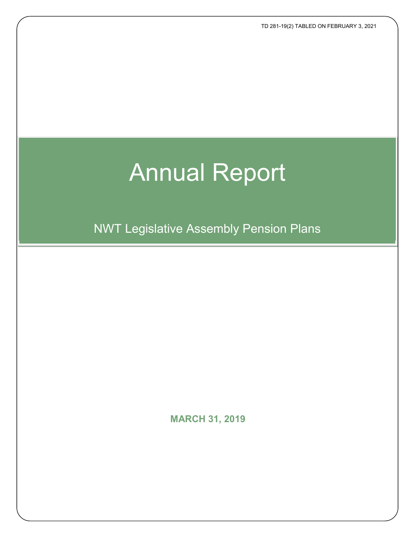TD 281-19(2) TABLED ON FEBRUARY 3, 2021

# Annual Report

NWT Legislative Assembly Pension Plans

**MARCH 31, 2019**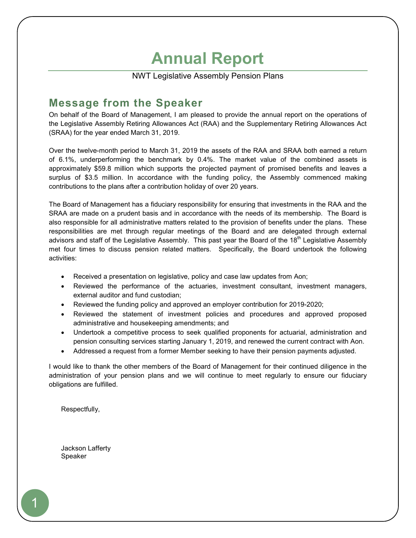# **Annual Report**

NWT Legislative Assembly Pension Plans

# **Message from the Speaker**

On behalf of the Board of Management, I am pleased to provide the annual report on the operations of the Legislative Assembly Retiring Allowances Act (RAA) and the Supplementary Retiring Allowances Act (SRAA) for the year ended March 31, 2019.

Over the twelve-month period to March 31, 2019 the assets of the RAA and SRAA both earned a return of 6.1%, underperforming the benchmark by 0.4%. The market value of the combined assets is approximately \$59.8 million which supports the projected payment of promised benefits and leaves a surplus of \$3.5 million. In accordance with the funding policy, the Assembly commenced making contributions to the plans after a contribution holiday of over 20 years.

The Board of Management has a fiduciary responsibility for ensuring that investments in the RAA and the SRAA are made on a prudent basis and in accordance with the needs of its membership. The Board is also responsible for all administrative matters related to the provision of benefits under the plans. These responsibilities are met through regular meetings of the Board and are delegated through external advisors and staff of the Legislative Assembly. This past year the Board of the 18<sup>th</sup> Legislative Assembly met four times to discuss pension related matters. Specifically, the Board undertook the following activities:

- Received a presentation on legislative, policy and case law updates from Aon;
- Reviewed the performance of the actuaries, investment consultant, investment managers, external auditor and fund custodian;
- Reviewed the funding policy and approved an employer contribution for 2019-2020;
- Reviewed the statement of investment policies and procedures and approved proposed administrative and housekeeping amendments; and
- Undertook a competitive process to seek qualified proponents for actuarial, administration and pension consulting services starting January 1, 2019, and renewed the current contract with Aon.
- Addressed a request from a former Member seeking to have their pension payments adjusted.

I would like to thank the other members of the Board of Management for their continued diligence in the administration of your pension plans and we will continue to meet regularly to ensure our fiduciary obligations are fulfilled.

Respectfully,

Jackson Lafferty Speaker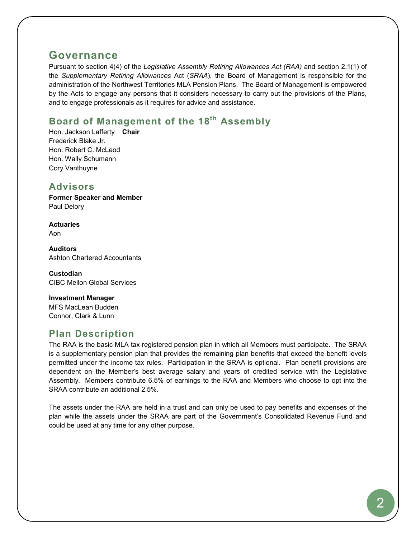# **Governance**

Pursuant to section 4(4) of the *Legislative Assembly Retiring Allowances Act (RAA)* and section 2.1(1) of the *Supplementary Retiring Allowances* Act (*SRAA*), the Board of Management is responsible for the administration of the Northwest Territories MLA Pension Plans. The Board of Management is empowered by the Acts to engage any persons that it considers necessary to carry out the provisions of the Plans, and to engage professionals as it requires for advice and assistance.

# **Board of Management of the 18th Assembly**

Hon. Jackson Lafferty **Chair** Frederick Blake Jr. Hon. Robert C. McLeod Hon. Wally Schumann Cory Vanthuyne

# **Advisors**

**Former Speaker and Member** Paul Delory

**Actuaries** Aon

**Auditors** Ashton Chartered Accountants

**Custodian** CIBC Mellon Global Services

**Investment Manager** MFS MacLean Budden Connor, Clark & Lunn

# **Plan Description**

The RAA is the basic MLA tax registered pension plan in which all Members must participate. The SRAA is a supplementary pension plan that provides the remaining plan benefits that exceed the benefit levels permitted under the income tax rules. Participation in the SRAA is optional. Plan benefit provisions are dependent on the Member's best average salary and years of credited service with the Legislative Assembly. Members contribute 6.5% of earnings to the RAA and Members who choose to opt into the SRAA contribute an additional 2.5%.

The assets under the RAA are held in a trust and can only be used to pay benefits and expenses of the plan while the assets under the SRAA are part of the Government's Consolidated Revenue Fund and could be used at any time for any other purpose.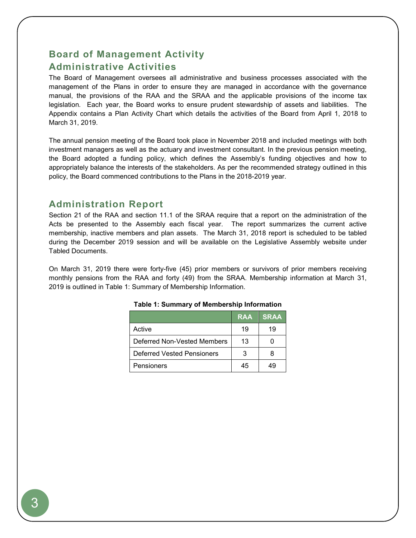# **Board of Management Activity Administrative Activities**

The Board of Management oversees all administrative and business processes associated with the management of the Plans in order to ensure they are managed in accordance with the governance manual, the provisions of the RAA and the SRAA and the applicable provisions of the income tax legislation*.* Each year, the Board works to ensure prudent stewardship of assets and liabilities. The Appendix contains a Plan Activity Chart which details the activities of the Board from April 1, 2018 to March 31, 2019.

The annual pension meeting of the Board took place in November 2018 and included meetings with both investment managers as well as the actuary and investment consultant. In the previous pension meeting, the Board adopted a funding policy, which defines the Assembly's funding objectives and how to appropriately balance the interests of the stakeholders. As per the recommended strategy outlined in this policy, the Board commenced contributions to the Plans in the 2018-2019 year.

# **Administration Report**

Section 21 of the RAA and section 11.1 of the SRAA require that a report on the administration of the Acts be presented to the Assembly each fiscal year. The report summarizes the current active membership, inactive members and plan assets. The March 31, 2018 report is scheduled to be tabled during the December 2019 session and will be available on the Legislative Assembly website under Tabled Documents.

On March 31, 2019 there were forty-five (45) prior members or survivors of prior members receiving monthly pensions from the RAA and forty (49) from the SRAA. Membership information at March 31, 2019 is outlined in Table 1: Summary of Membership Information.

|                             | <b>RAA</b> | <b>SRAA</b> |
|-----------------------------|------------|-------------|
| Active                      | 19         | 19          |
| Deferred Non-Vested Members | 13         |             |
| Deferred Vested Pensioners  | 3          |             |
| Pensioners                  | 45         |             |

#### **Table 1: Summary of Membership Information**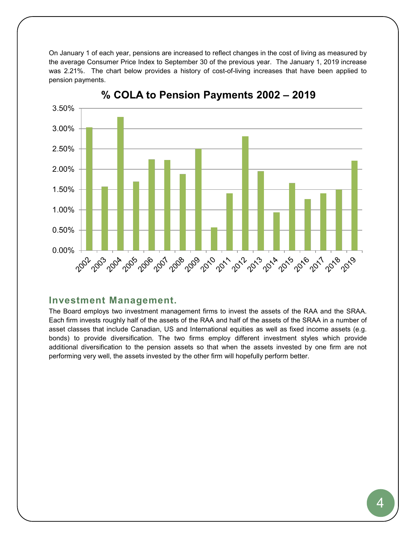On January 1 of each year, pensions are increased to reflect changes in the cost of living as measured by the average Consumer Price Index to September 30 of the previous year. The January 1, 2019 increase was 2.21%. The chart below provides a history of cost-of-living increases that have been applied to pension payments.



% COLA to Pension Payments 2002 - 2019

## **Investment Management.**

The Board employs two investment management firms to invest the assets of the RAA and the SRAA. Each firm invests roughly half of the assets of the RAA and half of the assets of the SRAA in a number of asset classes that include Canadian, US and International equities as well as fixed income assets (e.g. bonds) to provide diversification. The two firms employ different investment styles which provide additional diversification to the pension assets so that when the assets invested by one firm are not performing very well, the assets invested by the other firm will hopefully perform better.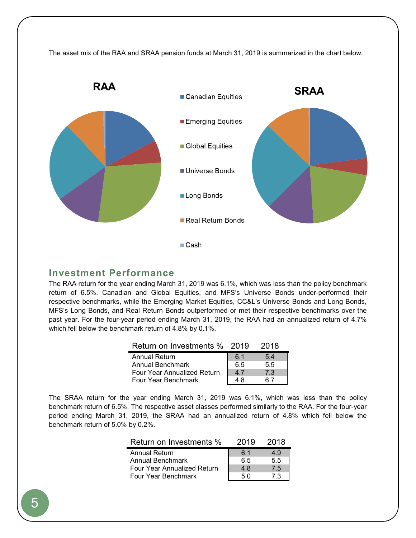

## **Investment Performance**

The RAA return for the year ending March 31, 2019 was 6.1%, which was less than the policy benchmark return of 6.5%. Canadian and Global Equities, and MFS's Universe Bonds under-performed their respective benchmarks, while the Emerging Market Equities, CC&L's Universe Bonds and Long Bonds, MFS's Long Bonds, and Real Return Bonds outperformed or met their respective benchmarks over the past year. For the four-year period ending March 31, 2019, the RAA had an annualized return of 4.7% which fell below the benchmark return of 4.8% by 0.1%.

| Return on Investments % 2019 |     | 2018 |
|------------------------------|-----|------|
| <b>Annual Return</b>         | 6.1 | 5.4  |
| Annual Benchmark             | 6.5 | 5.5  |
| Four Year Annualized Return  | 47  | 7.3  |
| Four Year Benchmark          | 4 R |      |

The SRAA return for the year ending March 31, 2019 was 6.1%, which was less than the policy benchmark return of 6.5%. The respective asset classes performed similarly to the RAA. For the four-year period ending March 31, 2019, the SRAA had an annualized return of 4.8% which fell below the benchmark return of 5.0% by 0.2%.

| Return on Investments %            | 2019 | 2018 |
|------------------------------------|------|------|
| <b>Annual Return</b>               | 61   | 4.9  |
| Annual Benchmark                   | 6.5  | 5.5  |
| <b>Four Year Annualized Return</b> | 4.8  | 75   |
| Four Year Benchmark                | 5 N  | 73   |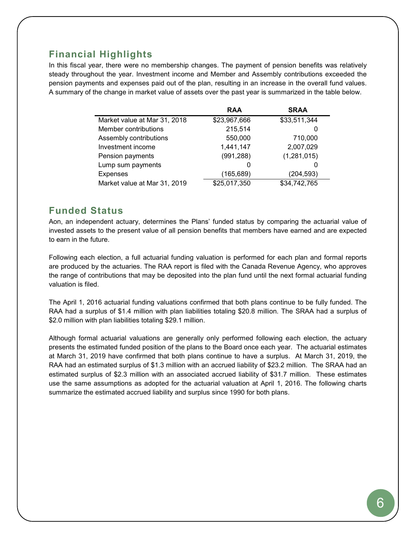# **Financial Highlights**

In this fiscal year, there were no membership changes. The payment of pension benefits was relatively steady throughout the year. Investment income and Member and Assembly contributions exceeded the pension payments and expenses paid out of the plan, resulting in an increase in the overall fund values. A summary of the change in market value of assets over the past year is summarized in the table below.

|                              | <b>RAA</b>   | <b>SRAA</b>  |
|------------------------------|--------------|--------------|
| Market value at Mar 31, 2018 | \$23,967,666 | \$33,511,344 |
| Member contributions         | 215,514      | 0            |
| Assembly contributions       | 550,000      | 710,000      |
| Investment income            | 1,441,147    | 2,007,029    |
| Pension payments             | (991, 288)   | (1,281,015)  |
| Lump sum payments            | $\Omega$     |              |
| <b>Expenses</b>              | (165, 689)   | (204, 593)   |
| Market value at Mar 31, 2019 | \$25,017,350 | \$34,742,765 |

# **Funded Status**

Aon, an independent actuary, determines the Plans' funded status by comparing the actuarial value of invested assets to the present value of all pension benefits that members have earned and are expected to earn in the future.

Following each election, a full actuarial funding valuation is performed for each plan and formal reports are produced by the actuaries. The RAA report is filed with the Canada Revenue Agency, who approves the range of contributions that may be deposited into the plan fund until the next formal actuarial funding valuation is filed.

The April 1, 2016 actuarial funding valuations confirmed that both plans continue to be fully funded. The RAA had a surplus of \$1.4 million with plan liabilities totaling \$20.8 million. The SRAA had a surplus of \$2.0 million with plan liabilities totaling \$29.1 million.

Although formal actuarial valuations are generally only performed following each election, the actuary presents the estimated funded position of the plans to the Board once each year. The actuarial estimates at March 31, 2019 have confirmed that both plans continue to have a surplus. At March 31, 2019, the RAA had an estimated surplus of \$1.3 million with an accrued liability of \$23.2 million. The SRAA had an estimated surplus of \$2.3 million with an associated accrued liability of \$31.7 million. These estimates use the same assumptions as adopted for the actuarial valuation at April 1, 2016. The following charts summarize the estimated accrued liability and surplus since 1990 for both plans.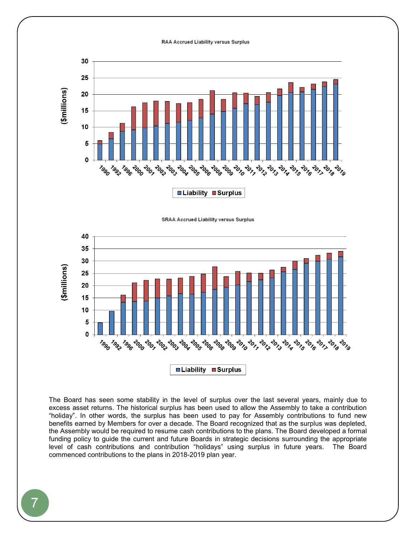#### RAA Accrued Liability versus Surplus







The Board has seen some stability in the level of surplus over the last several years, mainly due to excess asset returns. The historical surplus has been used to allow the Assembly to take a contribution "holiday". In other words, the surplus has been used to pay for Assembly contributions to fund new benefits earned by Members for over a decade. The Board recognized that as the surplus was depleted, the Assembly would be required to resume cash contributions to the plans. The Board developed a formal funding policy to guide the current and future Boards in strategic decisions surrounding the appropriate level of cash contributions and contribution "holidays" using surplus in future years. The Board commenced contributions to the plans in 2018-2019 plan year.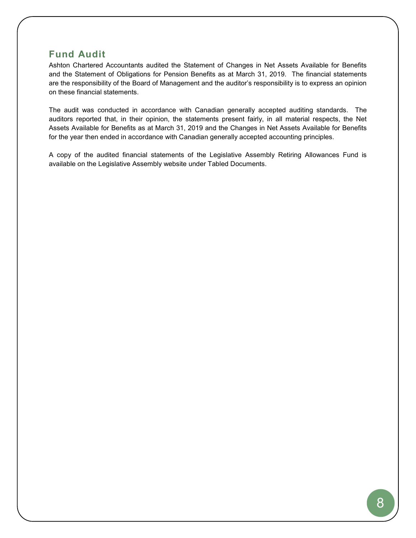# **Fund Audit**

Ashton Chartered Accountants audited the Statement of Changes in Net Assets Available for Benefits and the Statement of Obligations for Pension Benefits as at March 31, 2019. The financial statements are the responsibility of the Board of Management and the auditor's responsibility is to express an opinion on these financial statements.

The audit was conducted in accordance with Canadian generally accepted auditing standards. The auditors reported that, in their opinion, the statements present fairly, in all material respects, the Net Assets Available for Benefits as at March 31, 2019 and the Changes in Net Assets Available for Benefits for the year then ended in accordance with Canadian generally accepted accounting principles.

A copy of the audited financial statements of the Legislative Assembly Retiring Allowances Fund is available on the Legislative Assembly website under Tabled Documents.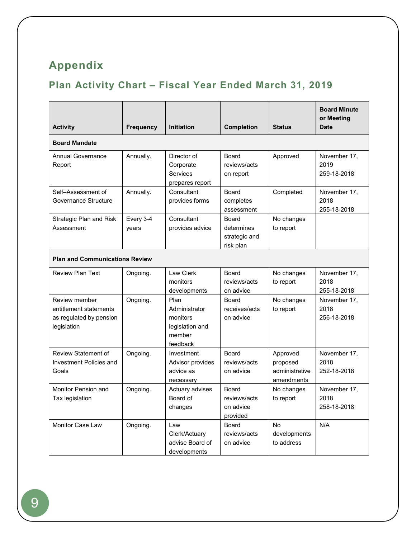# **Appendix**

# **Plan Activity Chart – Fiscal Year Ended March 31, 2019**

| <b>Activity</b>                                                                   | <b>Frequency</b>   | <b>Initiation</b>                                                          | Completion                                        | <b>Status</b>                                        | <b>Board Minute</b><br>or Meeting<br><b>Date</b> |  |
|-----------------------------------------------------------------------------------|--------------------|----------------------------------------------------------------------------|---------------------------------------------------|------------------------------------------------------|--------------------------------------------------|--|
| <b>Board Mandate</b>                                                              |                    |                                                                            |                                                   |                                                      |                                                  |  |
| <b>Annual Governance</b><br>Report                                                | Annually.          | Director of<br>Corporate<br>Services<br>prepares report                    | Board<br>reviews/acts<br>on report                | Approved                                             | November 17,<br>2019<br>259-18-2018              |  |
| Self-Assessment of<br>Governance Structure                                        | Annually.          | Consultant<br>provides forms                                               | <b>Board</b><br>completes<br>assessment           | Completed                                            | November 17,<br>2018<br>255-18-2018              |  |
| Strategic Plan and Risk<br>Assessment                                             | Every 3-4<br>years | Consultant<br>provides advice                                              | Board<br>determines<br>strategic and<br>risk plan | No changes<br>to report                              |                                                  |  |
| <b>Plan and Communications Review</b>                                             |                    |                                                                            |                                                   |                                                      |                                                  |  |
| <b>Review Plan Text</b>                                                           | Ongoing.           | Law Clerk<br>monitors<br>developments                                      | Board<br>reviews/acts<br>on advice                | No changes<br>to report                              | November 17,<br>2018<br>255-18-2018              |  |
| Review member<br>entitlement statements<br>as regulated by pension<br>legislation | Ongoing.           | Plan<br>Administrator<br>monitors<br>legislation and<br>member<br>feedback | <b>Board</b><br>receives/acts<br>on advice        | No changes<br>to report                              | November 17,<br>2018<br>256-18-2018              |  |
| <b>Review Statement of</b><br>Investment Policies and<br>Goals                    | Ongoing.           | Investment<br>Advisor provides<br>advice as<br>necessary                   | <b>Board</b><br>reviews/acts<br>on advice         | Approved<br>proposed<br>administrative<br>amendments | November 17,<br>2018<br>252-18-2018              |  |
| Monitor Pension and<br>Tax legislation                                            | Ongoing.           | Actuary advises<br>Board of<br>changes                                     | Board<br>reviews/acts<br>on advice<br>provided    | No changes<br>to report                              | November 17,<br>2018<br>258-18-2018              |  |
| <b>Monitor Case Law</b>                                                           | Ongoing.           | Law<br>Clerk/Actuary<br>advise Board of<br>developments                    | Board<br>reviews/acts<br>on advice                | <b>No</b><br>developments<br>to address              | N/A                                              |  |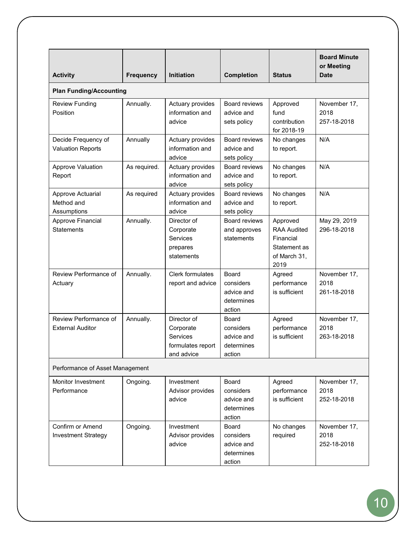| <b>Activity</b>                                  | <b>Frequency</b> | <b>Initiation</b>                                                       | <b>Completion</b>                                               | <b>Status</b>                                                                       | <b>Board Minute</b><br>or Meeting<br><b>Date</b> |  |
|--------------------------------------------------|------------------|-------------------------------------------------------------------------|-----------------------------------------------------------------|-------------------------------------------------------------------------------------|--------------------------------------------------|--|
| <b>Plan Funding/Accounting</b>                   |                  |                                                                         |                                                                 |                                                                                     |                                                  |  |
| <b>Review Funding</b><br>Position                | Annually.        | Actuary provides<br>information and<br>advice                           | Board reviews<br>advice and<br>sets policy                      | Approved<br>fund<br>contribution<br>for 2018-19                                     | November 17,<br>2018<br>257-18-2018              |  |
| Decide Frequency of<br><b>Valuation Reports</b>  | Annually         | Actuary provides<br>information and<br>advice                           | <b>Board reviews</b><br>advice and<br>sets policy               | No changes<br>to report.                                                            | N/A                                              |  |
| <b>Approve Valuation</b><br>Report               | As required.     | Actuary provides<br>information and<br>advice                           | <b>Board reviews</b><br>advice and<br>sets policy               | No changes<br>to report.                                                            | N/A                                              |  |
| Approve Actuarial<br>Method and<br>Assumptions   | As required      | Actuary provides<br>information and<br>advice                           | <b>Board reviews</b><br>advice and<br>sets policy               | No changes<br>to report.                                                            | N/A                                              |  |
| Approve Financial<br><b>Statements</b>           | Annually.        | Director of<br>Corporate<br>Services<br>prepares<br>statements          | <b>Board reviews</b><br>and approves<br>statements              | Approved<br><b>RAA Audited</b><br>Financial<br>Statement as<br>of March 31,<br>2019 | May 29, 2019<br>296-18-2018                      |  |
| Review Performance of<br>Actuary                 | Annually.        | <b>Clerk formulates</b><br>report and advice                            | Board<br>considers<br>advice and<br>determines<br>action        | Agreed<br>performance<br>is sufficient                                              | November 17,<br>2018<br>261-18-2018              |  |
| Review Performance of<br><b>External Auditor</b> | Annually.        | Director of<br>Corporate<br>Services<br>formulates report<br>and advice | Board<br>considers<br>advice and<br>determines<br>action        | Agreed<br>performance<br>is sufficient                                              | November 17,<br>2018<br>263-18-2018              |  |
| Performance of Asset Management                  |                  |                                                                         |                                                                 |                                                                                     |                                                  |  |
| <b>Monitor Investment</b><br>Performance         | Ongoing.         | Investment<br>Advisor provides<br>advice                                | <b>Board</b><br>considers<br>advice and<br>determines<br>action | Agreed<br>performance<br>is sufficient                                              | November 17,<br>2018<br>252-18-2018              |  |
| Confirm or Amend<br><b>Investment Strategy</b>   | Ongoing.         | Investment<br>Advisor provides<br>advice                                | <b>Board</b><br>considers<br>advice and<br>determines<br>action | No changes<br>required                                                              | November 17,<br>2018<br>252-18-2018              |  |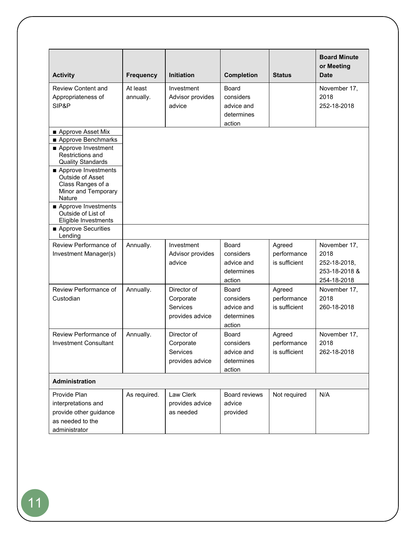|                                                                                                                 |                       |                                                         |                                                                 |                                        | <b>Board Minute</b>                                                  |
|-----------------------------------------------------------------------------------------------------------------|-----------------------|---------------------------------------------------------|-----------------------------------------------------------------|----------------------------------------|----------------------------------------------------------------------|
|                                                                                                                 |                       |                                                         |                                                                 |                                        | or Meeting                                                           |
| <b>Activity</b>                                                                                                 | <b>Frequency</b>      | <b>Initiation</b>                                       | <b>Completion</b>                                               | <b>Status</b>                          | <b>Date</b>                                                          |
| <b>Review Content and</b><br>Appropriateness of<br>SIP&P                                                        | At least<br>annually. | Investment<br>Advisor provides<br>advice                | <b>Board</b><br>considers<br>advice and<br>determines<br>action |                                        | November 17,<br>2018<br>252-18-2018                                  |
| Approve Asset Mix                                                                                               |                       |                                                         |                                                                 |                                        |                                                                      |
| Approve Benchmarks<br>Approve Investment<br>Restrictions and<br><b>Quality Standards</b><br>Approve Investments |                       |                                                         |                                                                 |                                        |                                                                      |
| Outside of Asset<br>Class Ranges of a<br>Minor and Temporary<br><b>Nature</b>                                   |                       |                                                         |                                                                 |                                        |                                                                      |
| Approve Investments<br>Outside of List of<br>Eligible Investments                                               |                       |                                                         |                                                                 |                                        |                                                                      |
| Approve Securities<br>Lending                                                                                   |                       |                                                         |                                                                 |                                        |                                                                      |
| Review Performance of<br>Investment Manager(s)                                                                  | Annually.             | Investment<br>Advisor provides<br>advice                | Board<br>considers<br>advice and<br>determines<br>action        | Agreed<br>performance<br>is sufficient | November 17,<br>2018<br>252-18-2018,<br>253-18-2018 &<br>254-18-2018 |
| Review Performance of<br>Custodian                                                                              | Annually.             | Director of<br>Corporate<br>Services<br>provides advice | <b>Board</b><br>considers<br>advice and<br>determines<br>action | Agreed<br>performance<br>is sufficient | November 17,<br>2018<br>260-18-2018                                  |
| Review Performance of<br><b>Investment Consultant</b>                                                           | Annually.             | Director of<br>Corporate<br>Services<br>provides advice | <b>Board</b><br>considers<br>advice and<br>determines<br>action | Agreed<br>performance<br>is sufficient | November 17,<br>2018<br>262-18-2018                                  |
| Administration                                                                                                  |                       |                                                         |                                                                 |                                        |                                                                      |
| Provide Plan<br>interpretations and<br>provide other guidance<br>as needed to the<br>administrator              | As required.          | Law Clerk<br>provides advice<br>as needed               | <b>Board reviews</b><br>advice<br>provided                      | Not required                           | N/A                                                                  |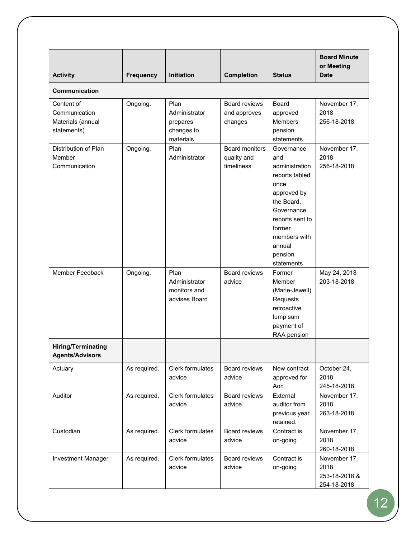| <b>Activity</b>                                                 | <b>Frequency</b> | Initiation                                                   | <b>Completion</b>                           | <b>Status</b>                                                                                                                                                                            | <b>Board Minute</b><br>or Meeting<br><b>Date</b>     |  |  |
|-----------------------------------------------------------------|------------------|--------------------------------------------------------------|---------------------------------------------|------------------------------------------------------------------------------------------------------------------------------------------------------------------------------------------|------------------------------------------------------|--|--|
| <b>Communication</b>                                            |                  |                                                              |                                             |                                                                                                                                                                                          |                                                      |  |  |
| Content of<br>Communication<br>Materials (annual<br>statements) | Ongoing.         | Plan<br>Administrator<br>prepares<br>changes to<br>materials | Board reviews<br>and approves<br>changes    | Board<br>approved<br>Members<br>pension<br>statements                                                                                                                                    | November 17,<br>2018<br>256-18-2018                  |  |  |
| Distribution of Plan<br>Member<br>Communication                 | Ongoing.         | Plan<br>Administrator                                        | Board monitors<br>quality and<br>timeliness | Governance<br>and<br>administration<br>reports tabled<br>once<br>approved by<br>the Board.<br>Governance<br>reports sent to<br>former<br>members with<br>annual<br>pension<br>statements | November 17,<br>2018<br>256-18-2018                  |  |  |
| Member Feedback                                                 | Ongoing.         | Plan<br>Administrator<br>monitors and<br>advises Board       | <b>Board reviews</b><br>advice              | Former<br>Member<br>(Marie-Jewell)<br>Requests<br>retroactive<br>lump sum<br>payment of<br>RAA pension                                                                                   | May 24, 2018<br>203-18-2018                          |  |  |
| <b>Hiring/Terminating</b><br><b>Agents/Advisors</b>             |                  |                                                              |                                             |                                                                                                                                                                                          |                                                      |  |  |
| Actuary                                                         | As required.     | Clerk formulates<br>advice                                   | Board reviews<br>advice                     | New contract<br>approved for<br>Aon                                                                                                                                                      | October 24,<br>2018<br>245-18-2018                   |  |  |
| Auditor                                                         | As required.     | Clerk formulates<br>advice                                   | Board reviews<br>advice                     | External<br>auditor from<br>previous year<br>retained.                                                                                                                                   | November 17,<br>2018<br>263-18-2018                  |  |  |
| Custodian                                                       | As required.     | Clerk formulates<br>advice                                   | <b>Board reviews</b><br>advice              | Contract is<br>on-going                                                                                                                                                                  | November 17,<br>2018<br>260-18-2018                  |  |  |
| Investment Manager                                              | As required.     | Clerk formulates<br>advice                                   | Board reviews<br>advice                     | Contract is<br>on-going                                                                                                                                                                  | November 17,<br>2018<br>253-18-2018 &<br>254-18-2018 |  |  |